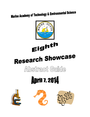### **Marine Academy of Technology & Environmental Science**



Eighth

# Research Showcase

### Abstract Guide

## **April 7, 2014**





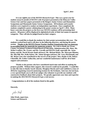**It is our eighth year of the MATES Research Expo! This was a great year for student research outside of MATES with 19 projects presented at the Delaware Valley Science Fair and four papers presented at the Rutgers Junior Science and Humanities Symposium and Monmouth Junior Science Symposium. All freshmen and transfer students were required to conduct an independent experiment. Once completed, the students completed a poster culminating in the poster session on April 7, 2014. Many hours went into the projects as the first year MATES students will be presenting their posters. All posters will be displayed in alphabetical order of their last names in separate categories. They will also be judged based on their category.** 

**We would like to thank the students for their project presentations this year. The students worked hard and it will show in the following abstracts, and during the poster session. Thanks to the MATES Parent-Teacher-Student Organization that was generous in providing funds for materials for numerous projects. We wish to thank our Ocean County Vocational Technical School Board of Education, Administration (Mr. Hoey, Ms. Weber-Loeffert, Mr. Frazee, and Ms. Carroll) and MATES Staff, especially Mr. Jason Kelsey and Mr. David Werner (both advisors), Mr. Michael Bixler, Ms. Maryann Minnier, Ms. Mia Dill, Mrs. Kelly Kelsey, Mr. Adam Sprague (advisor), Mr. Gary MacDonald, and Mr. Brian Coen who contributed to the success of the project. Also, thanks to Ms. Robyn Chiariello, Ms. Esther Gallacchio, and our wonderful maintenance staff for all of their support and assistance.** 

**Thanks to the parents who have contributed much time and effort in making the projects possible. Without their support, this research would not be possible. I would like to take this time to thanks Sarah Jakositz, Meaghan Martin and Leah Goldsberry (class of 2014) for organizing research mentoring sessions for the freshmen. And, last, but not least, a very special thank you to all of our judges who volunteer to provide our students with constructive feedback about their projects. We greatly appreciate your time and expertise in making the 2014 MATES Research Expo a real success.** 

 **Congratulations to all of the students listed in this guide.** 

**Sincerely,**

John Work

**John Wnek, supervisor, Science and Research**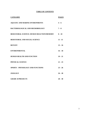### **TABLE OF CONTENTS**

| <b>CATEGORY</b>                                       | <b>PAGES</b> |
|-------------------------------------------------------|--------------|
| <b>AQUATIC AND MARINE ENVIRONMENTS</b>                | $4 - 6$      |
| <b>BACTERIOLOGICAL AND MICROBIOLOGY</b>               | $7 - 8$      |
| <b>BEHAVIORAL SCIENCE: HUMAN REACTION/MEMORY 8-10</b> |              |
| <b>BEHAVIORAL AND SOCIAL SCIENCE</b>                  | $11 - 13$    |
| <b>BOTANY</b>                                         | $13 - 16$    |
| <b>ENVIRONMENTAL</b>                                  | $16 - 18$    |
| <b>HUMAN HEALTH AND FUNCTION</b>                      | $19 - 21$    |
| PHYSICAL SCIENCE                                      | $21 - 23$    |
| <b>SPORTS - PHYSIOLOGY AND FUNCTIONS</b>              | $23 - 26$    |
| <b>ZOOLOGY</b>                                        | $26 - 28$    |
| <b>GRADE 10 PROJECTS</b>                              | $28 - 30$    |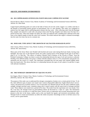### **AQUATIC AND MARINE ENVIRONMENTS**

### **101. DO COPPER-BASED ANTIFOULING PAINTS RELEASE COPPER INTO WATER?**

Dawson Brown, Block 3 Science Class, Marine Academy of Technology and Environmental Science (MATES), Advisor: Dr. John Wnek

Copper-based antifouling paints are used on the hulls of boats all over the world. Copper is so widely used due to the benefits of preventing marine growth on boat-bottoms, but it is also harmful. This study was completed to analyze how the copper used in antifouling paints releases into bay water. After collecting water from the Barnegat Bay, samples were placed in a tank with a jet pump to keep water flowing. Samples were taken every five days for a period of forty days. After each sample was taken, the water was replaced with a standing pool collected at the same time as the original sample to keep the water level constant. The results indicate that copper is released increasingly into the water over time, but not at a constant rate.

### **102. DOES SOIL TYPE AFFECT THE GROWTH OF SALTWATER-DAMAGED PLANTS?**

Julia Conway, Block 2 Science Class, Marine Academy of Technology and Environmental Science (MATES), Advisor: Mr. Jason Kelsey

Many parts of the Jersey Shore were flooded with brackish and ocean water during Hurricane Sandy, leaving crops damaged. All crops vary in salt tolerance levels, but could a partial source of the damage be the type of soil that a plant is in? To find this, "The effects of Sodium Chloride (NaCl) Solution of the Growth of Plants" from the Portland Community College was done to assess the relationship between the type of soil and reaction to saltwater flooding. Four different plants were given a sodium chloride solution with an 11.5% concentration and growth was measured over the course of 3 weeks. The experiment concluded that rich and sandy soils respond slightly better than clay-based soils. This shows that there is a relationship between the types of soil a plant is in and how it copes with saltwater inundation.

### **103. THE NITROGEN ABSORPTION OF AQUATIC PLANTS**

Kai Ongaro, Block 3 Science Class, Marine Academy of Technology and Environmental Science (MATES), Advisor: Mr. Dave Werner

The purpose of this study was to understand the nitrogen consumption of plants over a certain period of time. To do this, three different types of plants were tested water wisteria (*Hygrophila difformis)*, frogbit (*Hydrocharis morsusranae*), and pennywort (*Centella asiatica*). Two of each plant was obtained and put into the same conditions (same sunlight, nitrogen enriched water, container) along with a control contain with the same levels of nitrogen enriched water. These subjects were tested over a period of five days. The results from the experiment were very steady. Over the 5 test days, the nitrogen levels (in parts/million) almost all decreased to a value of 1 ppm. The information gathered was not as accurate as it could have been. Factors such as evaporation and accurate measuring tools were present in this lab. In the future, studies such as this can benefit the aquatic and terrestrial environments alike. Nitrogen levels in certain environments can affect the whole ecosystem. Knowledge on how to rid these areas of an excess, can be a great benefit.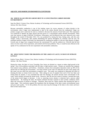### **AQUATIC AND MARINE ENVIRONMENTS (CONTINUED)**

### **104. WHICH ALGAE SPECIES GROWS BEST IN A CONCETRATED CARBON DIOXIDE ENVIRONMENT?**

Sean Sia, Block 1 Science Class, Marine Academy of Technology and Environmental Science (MATES), Advisor: Mr. Dave Werner

Because automobile combustion is one of the leading causes for excess amounts of carbon dioxide in the environment, what if algae were implemented to take in the carbon dioxide from the combustion? Algae can produce oxygen and it could also be used as a biofuel to decrease the amount of fossil fuels used. This experiment was conducted to identify the algae species that best grows in a concentrated carbon dioxide environment. There were four species of algae (*Chlorella, Peridinium*, *Gloeocapsa, and Oscillatoria*) that were observed every week throughout the month of December 2013.  $CO<sub>2</sub>$  was produced by mixing the base, baking soda, with the acid, vinegar. Using a microscope, after equally distributing the species throughout its container with the stirs, the estimated amount of algae in the bottle was determined by counting the number of cells per slide (density of algae). Growth rates of algae were compared between the concentrated CO<sub>2</sub> and the ambient air. *Chlorella* had the best ratios over the course of the experiment, and resulted with the least problems. Thus, it would be more efficient in the uptake of  $CO_2$  combustion for the next experiment with automobile combustion.

### **105. WHAT EEFECT DOES THE DRAINING OF THE LAKES AT LACEY, NJ HAVE ON NITRATE LEVELS?**

Kaitlyn Triano, Block 1 Science Class, Marine Academy of Technology and Environmental Science (MATES), Advisor: Mr. Dave Werner

During the winter, the lakes in Lacey Township, New Jersey are drained as a means to reduce algal growth in the spring. One of the problems associated with the lakes is high nutrient counts. Nitrates are nutrients that originate from animal waste, pollution, and fertilizer. Sometimes, nitrates from atmosphere deposition make up 40% of the nitrates that are affecting the environment. Too many nitrates in the water are indicators for poor water quality and this water can now affect the environment in negative ways. This study was conducted to determine the effect of draining the lakes on nitrate levels over time. After taking ten sets of samples from each of the four lakes and testing them for nitrates, it was concluded that after the drainage, the nitrates became more concentrated in the water, which initially increased the nitrate levels. However, after the last four weeks of testing, it seemed that some of the nitrate levels began to decrease. A key to removing excess nitrates is reduction and a process called denitrification. By draining the lakes, the bottom sediment becomes exposed to more aerobic conditions which affect the conversion of nitrates to nitrogen. Therefore, there must be a better solution than draining the lakes to reduce algae. This conclusion supports the hypothesis that the drainage of the lakes creates environmental issues and poor water quality. To fix this problem, the town must stop the drainage of the lakes in the winter and leave them in their natural state.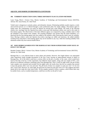### **AQUATIC AND MARINE ENVIRONMENTS (CONTINUED)**

### **106. TURBIDITY REDUCTION USING THREE DIFFERENT FLOCCULATION METHODS**

Laura Tsang, Block 1 Science Class, Marine Academy of Technology and Environmental Science (MATES), Advisor: Mr. Jason Kelsey, Dr. John Wnek

Turbid water is dangerous to animals, plants, and ultimately, humans. Eliminating turbidity usually requires a costly and involved process as it is filtered through a water purification plant. By simply adding a flocculation agent to turbid water, the contaminants can easily be filtered out leaving pure water behind. The seeds of the *Moringa oleifera* tree, mucilage from the *Opuntia ficus-indica* cactus pad, and aluminum sulfate were used in this study as flocculation agents. The effectiveness of the three different agents was compared by using a turbidity meter to find the turbidities of the treated water samples. The resulting turbidities were greater than the initial turbidities. It is theorized that the flocculating agents may have added to the turbidity while removing the initial cause for turbidity. Since *Moringa oleifera* seeds and *Opuntia ficus-indica* mucilage are edible and nutritious, the added turbidity resulting from using them as flocculating agents may not be harmful in any way; while the resulting turbidity from aluminum sulfate may have adverse health effects.

### **107. DOES DEBRIS WASHED INTO THE BARNEGAT BAY FROM SUPERSTORM SANDY HAVE AN EFFECT ON THE pH?**

Brendan Tumpey, Block 1 Science Class, Marine Academy of Technology and Environmental Science (MATES), Advisor: Dr. John Wnek

Barnegat Bay is a very delicate home to many plants and animals. However, this fragile balance was interrupted when Superstorm Sandy brought devastation to the East Coast, leaving an unprecedented amount of debris in Barnegat Bay. All of this debris could have a serious effect on the pH, or acidity, of the water, which would harm much of the life in the bay. In this experiment, four different metal samples, along with one sample of PVC, were placed in six different containers containing water from Barnegat Bay. Once a week for eight weeks, the pH of these water samples were measured and recorded. By the eighth week, the results show that the two samples that seemed to have the greatest affect were iron and steel. The pH levels of these two samples in week one were 7.21 for iron and 7.18 for steel. However, by week eight, the pH levels for both iron and steel were 6.78. This suggests that these metals did in fact make the water more acidic. All the samples seemed to follow a pattern, which means there may be another factor, such as weather/temperature, could have an effect on the pH of water.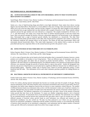### **BACTERIOLOGICAL AND MICROBIOLOGY:**

### **201. IS PITAVISTATIN INCLUDED IN THE ANTI-MICROBIAL AFFECTS THAT STATINS HAVE BEEN KNOWN TO EXHIBIT?**

Sarah Berger, Block 3 Science Class, Marine Academy of Technology and Environmental Sciences (MATES), Advisors: Mr. Jason Kelsey and Dr. John Wnek

Statins are a class of lipid-lowering drugs prescribed to treat high cholesterol. Some statins have shown varying degrees anti-microbial effects. Pitavastatin is a recent addition to this class of drugs. Does pitavastatin have the same effects on E.coli as the four other statins, and how do they compare? To answer this, three samples of each medicine were dissolved into an agar medium that was then infected with a sample of bacteria, E.coli. Three controls without medicine and just the agar medium were also infected as a comparator. The samples incubated for 192 hours at 35- 37˚ C, and observations were made every twenty-four hours to monitor bacterial growth. In the first twenty-four hours, there was growth amongst the bacteria. However, pitavastatin appeared to be bacteriostatic in the subsequent days. Simvastatin had a surge of bacterial growth initially, but manifested as a bactericide. The other three medications all had similar growth trends to each other; they slowed growth compared to the control. Conclusively, the cholesterol medicine has minimal effects on the bacteria. The statins all had some bacteriostatic effects and simvastatin showed bactericidal effects. This study holds importance in the medical field as statins are heavily prescribed and may have important effects on the normal bacterial growth in the patient's colon.

### **202. EFFECTIVENESS OF BACTERICIDES ON CULTURED PLATES**

Kelsey Esposito, Block 3 Science Class, Marine Academy of Technology and Environmental Science (MATES), Advisors: Mr. Jason Kelsey, Dr. John Wnek, and Mr. Adam Sprague.

*E. coli* is a type of bacteria that can be found on the food and produce that is consumed by humans; however, certain products are available to rid produce of any living bacteria. There are different types of treatments; ones that are sprayed on growing plants and others that are sprayed on already harvested produce. To find which type of treatment is the most effective in eliminating bacteria, five different products were sprayed on living bacteria and the efficiency was measured through the percent of bacteria dead in a given time period. Amidst the designated time intervals, the percent of dead bacteria on each plate had no significant difference between the two different types of bacteria-killing agents. Therefore, neither type of bacteria spray, based on real-life application timing, is more beneficial than the other. This information can be used when consumers purchase products for ridding bacteria on produce.

### **203. BACTERIAL GROWTH ON MUSICAL INSTRUMENTS OF DIFFERENT COMPOSITIONS**

Emilija Jeskeviciute, Block 4 Science Class, Marine Academy of Technology and Environmental Science (MATES), Advisor: Mrs. Kelly Kelsey

In the 21st century, playing musical instruments has become an everyday past time for people of all ages. Playing musical instruments comes with many benefits such as increased concentration and a boost in social skills. However, instruments also harbor many dangerous bacteria that are known to cause respiratory related illnesses. The number of different bacteria found on an instrument relies on how well the instrument is taken care of and how routinely it is cleaned, although there may be another inevitable factor that determines the amount of bacterial colonies found on a particular instrument. The different composition of an instrument may also play a factor in the amount of bacterial colony growth that later form on the instrument. To reason out whether composition played a role in bacterial growth on an instrument, 10 instruments from a local marching band were collected. The instruments were swabbed for any potential bacteria and the bacteria later transferred onto agar plates where it grew for around one week. The different amounts of bacterial colony growth found on each instrument was collected and research on each instrument's mouthpiece was also carried out. The data was then analyzed to see if there was any relationship between an instrument's mouthpiece composition and the number of bacterial colonies. It was found that the amount of bacteria relied somewhat on an instrument's composition: reed instruments had the highest number of bacterial colony growth, followed by instruments made from yellow brass (copper and zinc).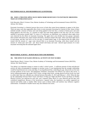### **BACTERIOLOGICAL AND MICROBIOLOGY (CONTINUED):**

### **204. DOES A TREATED APPLE SLICE SHOW MORE RESISTANCE TO ENZYMATIC BROWNING THAN AN UNTREATED SLICE?**

Kyle Macauley, Block 3 Science Class, Marine Academy of Technology and Environmental Science (MATES), Advisor: Mr. Kelsey

Enzymatic browning is a chemical process that occurs in fruits that causes brown pigments to appear in the fruits. There are many ways that supposedly allow fruits to resist enzymatic browning for a period of time. Some of these methods include a mixture of honey and water being applied to the fruit slice, a mixture of lemon juice and water being applied to the fruit slice, or a mixture of sugar and water being applied to the fruit slice. Do any of these methods of prevention actually help? To come to a conclusion, an experiment was conducted where apple slices were observed for the effects of enzymatic browning. The apple slices were divided into four groups: untreated, those treated with lemon juice, those treated with honey, and those treated with sugar. There were three apple slices in each group, and they were left to sit for ten days, in sealed plastic bags. It was observed that the apple slices treated with the mixture of sugar water showed little to no enzymatic browning, while those treated with the mixture of lemon juice and water and those treated with honey and water showed equal amounts of or more enzymatic browning than the untreated apple slices.

### **BEHAVIORAL SCIENCE - HUMAN REACTION AND MEMORY:**

### **301. THE EFFECTS OF SLEEP, PHYSICAL ACTIVITY ON TEST SCORES**

Daniel Baxter, Block 1 Science Class, Marine Academy of Technology and Environmental Science (MATES), Advisor: Mr. David Werner

Test taking is an important strategy to master in today's school system. A sufficient amount of sleep and physical activity are often recommended as strategies to increase scores. It was hypothesized that the stronger relationship would be found between test scores and sleep. It was hypothesized that, controlling for age, sleep levels are the most accurate predictor of test scores. The Preliminary Scholastic Assessment Test (PSAT) was used in this survey. A survey asking participants age, grade, PSAT Scores, average sleep levels, average physical activity levels was used to collect data. Data was collected was collected between December 25, 2013 and February 1, 2014. When the data for the relationships between PSAT Scores and Hours of Sleep per Night and PSAT Scores and Hours of Weekly Physical Activity was analyzed for each year, zero r-squared values above 0.5 were observed and the data were considered insignificant. Because of the inconclusive r-squared value, the hypothesis was neither supported nor rejected and further study is needed. Other factors such as dietary habits and nutrition may influence cognitive achievement. A multitude of smaller factors may also influence test scores.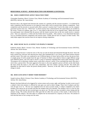### **BEHAVIORAL SCIENCE - HUMAN REACTION AND MEMORY (CONTINUED):**

### **302. DOES COMPETITION AFFECT REACTION TIME?**

Christopher Daukshus, Block 3 Science Class, Marine Academy of Technology and Environmental Science (MATES), Advisor: Mr. Jason Kelsey

Reaction time is the elapsed time between the creation of a stimulus and the reaction towards it. It is believed by many competitors that the pressure to win improves some skills, such as reaction time, during a competition. Does competition and the pressure to succeed really affect a person's reaction time? Used in this study was the computer generated reaction time test, "*Think Fast*" in which reaction time is determined by the speed objects are avoided on the screen. Twenty-six students, ages 14 to 17, were asked to take the test at two separate times. Before the second test, participants were informed that the person with the fastest reaction time on the test would receive a mystery prize. Data was analyzed as a whole and also broken down by gender. After analysis, it was determined that there was no correlation between competition and reaction times. Gender did not have an impact on these results. This study helps support that reaction times do not improve during competition.

### **303. DOES MUSIC HAVE AN EFFECT ON PEOPLE'S MOODS?**

Katherine Kutina, Block 3 Science Class, Marine Academy of Technology and Environmental Science (MATES), Advisor: Mr. David Werner

Music is unique because it cannot be seen or felt, but can only be heard and interpreted through the brain. Since the brain controls the conscious and subconscious mind, then hypothetically it can convey and control human emotion and their mood. This study was conducted to see if different genres of music had an effect on how the person feels. A sample group of twelve people from the ages of fourteen to fifteen were asked to listen to eight different songs from different genres, and were told to answer a series of questions regarding their mood while listening to them. The purpose was to determine whether music could affect a person's mood. It was concluded that music does play a role in how a person feels. The more aggressive the music is, the more agitated a person will feel; on the other hand, the more serene the music is, the more calm, melancholy, and even content a person will feel. The results also depended on what kind of music the person already prefers. However, in the end, 100% of the participants felt a change in mood.

### **304. DOES GUM AFFECT SHORT TERM MEMORY?**

Joseph Leclercq, Block 4 Science Class, Marine Academy of Technology and Environmental Science (MATES), Advisor: Mr. Jason Kelsey

Memory has been believed to be triggered by various senses such as taste, sight, and hearing. In order to test to see if a subject's short term memory is affected by taste gum was used to detect change. There were 8 subjects and they were all ages 14 or 15. The test was completed twice for more accurate results. A subject completed a test where numbers were shown for ten seconds and then the numbers had to be matched. The numbers were in a four by four square. The second time the test occurred gum was given out. The data was then recorded to show timing and the amount wrong. The results showed that while gum did not affect the accuracy of the results, it did increase the impulsion of the subjects. The time taken to complete the test decreased for a majority of the tests. The amount of tests that had more or less wrong were the same.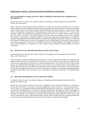### **BEHAVIORAL SCIENCE - HUMAN REACTION AND MEMORY (CONTINUED):**

### **305. DO DIFFERENT GENRES OF MUSIC AFFECT MEMORY AND HAND-EYE COORDINATION DIFFERENTLY?**

Daniel Leifert, Block 3 Science Class, Marine Academy of Technology and Environmental Science (MATES), Advisor: Mr. Jason Kelsey

Music is has been an important part of human lifestyles for centuries, and also holds an important role in our brains. Many studies have shown correlations between music/musical proficiency and proficiency in special reasoning and memory related tasks. But are brain functions affected differently by different genres of music? Do any other factors, such as gender or participation in video games/sports, affect these brain functions as well? To answer these questions, roughly 100 participants were gathered and instructed to listen to a specific genre of music: classical, rock, jazz, dance, or no music at all. While listening to the music, they each completed 3 online tests to compare their memory and hand-eye coordination abilities with the other participants. Questionnaires were filled out afterwards. Data gathered from the questionnaires was separated into different groups for comparison. Participants that listened to different genres of music were compared, as well as different genders. The results of this experiment were largely inconclusive, as there was no correlation within any of the data gathered. This suggests that there is either no benefit/hindrance to listening to any type of music during activities that require memory or hand-eye coordination.

### **306. THE EFFECTS OF THE TIME BETWEEN EATING AND TESTING**

Kayla Mitchell, Block 3 Science Class, Marine Academy of Technology and Environmental Science (MATES), Advisor: Mr. David Werner

The term IQ refers to the term Intelligence Quotient which is a measure of general knowledge. The average IQ score ranges from 90-110. However, many factors may affect the score one receives on a test, such as the amount of sleep one receives the night before, the food they eat, and their motivational state. In this study, the effects of the time gap between one eating breakfast and taking an IQ test on one's IQ score was tested by having several students take a series of three IQ tests, each with a different time interval of either 40 minutes, 100 minutes, or 120 minutes between the time they ate breakfast and took the test. Several correlations were observed, showing that eating approximately 40 minutes before taking an IQ test optimizes one's performance as opposed to eating 100 or 120 minutes before testing.

### **307. HOW DOES HANDEDNESS AFFECT REACTION TIMES?**

CJ Schaefer, Block 1 Science Class, Marine Academy of Technology and Environmental Science (MATES), Advisor: Mr. David Werner

Reaction time is the amount of time that it takes for an organism to react to stimuli. Handedness is a preference to use one side of the body over the other. Thus, being ambidextrous means that there is "no body side preference". For this study, it was hypothesized that the preferred (dominant) body side would have a marginally faster reaction time than the non-dominant side. To obtain the necessary information to determine the effect of handedness on reaction time, five right-handed persons and one left-handed person had a ruler dropped between their thumb and forefinger. The distance it was caught at was recorded and converted into seconds using the formula  $\sqrt{(2y) / (g_0)}$ , where y is the distance, and  $g_0$  is the acceleration due to gravity. When averaged, there was no significant difference in reaction times; however dominant reaction times were faster both on average, and individually.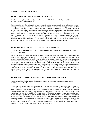### **BEHAVIORAL AND SOCIAL SCIENCE:**

### **401. IS HANDWRITING MORE BENEFICIAL TO ONE GENDER?**

Madeline Alzamora, Block 4 Science Class, Marine Academy of Technology and Environmental Sciences (MATES), Advisor: Mr. David Werner

Numerous studies have shown the perks of handwriting information against typing it: improved memory, increased creativity, early warning signs against debilitating diseases, and more. But does handwriting prove more beneficial for one gender? Twenty-six participants between the ages of fourteen and seventeen took a short test to determine the best way for them to learn (visual, auditory, and kinesthetic) and were then assigned a note sheet for the first test to fill out. They were individually told to handwrite or type the answers. The first test, ten questions and open-ended questions on the history of chewing gum, was failed by males and females, those that handwrite and those that type alike. The second test, a ten question, multiple choice assessment on the history of aspirin, wielded better overall results. Many conclusions came from this test. As a whole, males seem to have an increased likelihood of being kinesthetic learners compared to females, and students are more likely to succeed on multiple choice tests as opposed to open-ended. However, a correlation between gender and handwriting was not found.

### **402. DO SECTIONED PLATES INFLUENCE PEOPLES' FOOD CHOICES?**

Brianna Ford, Block 4 Science Class, Marine Academy of Technology and Environmental Sciences (MATES), Advisor: Dr. John Wnek

Humans are constantly given opportunities to make decisions, and companies even hire people to help their customers make desired choices. With much of what people choose seemingly not being in their own hands in the corporate-run world of today, do people have the ability to consistently make food choices with varying plate conditions? Will altering the appearance of plates and specifying areas for food to be placed drastically alter the food choices that people make? It has been shown that plate size has an influence on food group choices and the volume of food eaten, but do sectioned plates have a similar effect? Participants were given a learning style quiz and were given instructions on coloring plates according to their preferred style. The results of this study suggest that some food groups are less likely to be influenced than others and that some groups of people are more likely to make certain choices than other people. The data collected from this experiment could be used to help chefs or dieters make preferred decisions about the amount of food served on plates.

### **403. IS THERE A CORRELATION BETWEEN PERSONALITY AND MORALITY?**

Edward McLaughlin, Block 3 Science Class, Marine Academy of Technology and Environmental Science (MATES), Advisor: Mr. David Werner

Many people believe that their personalities affect their everyday decision making. This experiment was conducted to determine if there was a relationship between the personal characteristics and choices of individuals. To test this theory, participants were asked to first take a personality test to dictate their traits, such as openness, Conscientiousness, and extroversion. Each trait was measured on a scale of one to five, and the highest out of the five qualities was used as the participant's primary quality. Afterwards, participants were given ten riddles and a sheet of corresponding answers. They were asked to complete the riddles to the best of their abilities, and they were informed that they could use the answers at any time. It was then taken down if they A: Used the answers for the entire sheet, B: Didn't use the sheet, or C: Only used the sheet if they were having difficulty. The collected data revealed that there was seemingly no correlation between traits and decision to use the provided answers. Out of all the participants, at least one of each of the five personality categories used the answers to complete the riddles. In conclusion, it appears that there is no relation between these two factors.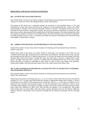### **BEHAVIORAL AND SOCIAL SCIENCE (CONTINUED):**

### **404. CAN HEALTHY FAST FOOD SURVIVE?**

Alex Parsells, Block 3 Science Class, Marine Academy of Technology and Environmental Science (MATES), Advisors: Dr. Wnek, Mr. Werner, Ms. Meaghan Martin, and Ms. Sarah Jakositz

The purpose of this project was to determine whether the movement to create healthier options in fast food restaurants has a future and will be well-received by Americans. To aid in determining this, a survey was created and distributed to customers of the fast-food restaurants Chick-fil-A and KFC. The purpose of the survey was to determine fast-food customers' eating habits currently, their grasp on nutritional information of common fast-food menu items, and how important they believe healthy food is at fast-food restaurants. The results indicated that, while the majority of customers would like to see healthier food in fast-food restaurants, price and speed in preparation were their priorities; because of this, it is necessary that healthy fast food not inconvenience the customer by being priced higher or taking longer to prepare.

### **405. CORRELATION BETWEEN COLOR PREFERENCE AND AGE/GENDER**

Cameron Perry, Block 1 Science Class, Marine Academy of Technology and Environmental Science (MATES), Advisor: Laura Perry

People always prefer certain colors over others. People of varied ages were surveyed to see if there was any correlation between their ages and gender when it came to their color preference. The data from the survey was then put into graphs and data tables so it could be analyzed easier. It was seen that people twelve and younger, both boys and girls, liked colors more because of things they enjoy, like spider-man, or because it reminds them of their parents. Teenagers either don't have a reason or it reminds them of something like the sky or the ocean. Adults prefer colors that are calming or comfortable to them. When it comes to male versus female color preference, females prefer brighter colors and used more shades of the color, whereas males chose darker colors.

### **406. IS THE TECHNIQUE OF ODD PRICING AN EFFECTIVE WAY OF ATTRACTING CUSTOMERS AND INCREASING REVENUE?**

Elias Saavedra, Block 1 Science Class, Marine Academy of Technology and Environmental Science (MATES), Advisor: Mr. David Werner

Odd pricing is the practice of lowering a price by 1, 5, 10, or 25 cents in order to alter the price into a form that the last digit is a 9 or a 5, in order to give the illusion that a product is significantly cheaper than it actually is. The aim of this project was to identify if the common practice of lowering a price by 1, 5, or 25 cents is an effective way of drawing in more customers and increasing revenue. To find out, experiments were conducted in which a survey consisting of brief questions were given to a handful of people. This survey consisted of choices between various prices, which had a difference of  $\leq 0.25$  USD. After the data was compiled, it was concluded that  $\sim 90\%$  people prefer products that are priced oddly, which also leads to greater financial success for the business selling the products. Therefore, odd pricing is still an effective technique that the majority of businesses still use with good reason.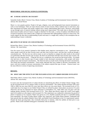### **BEHAVIORAL AND SOCIAL SCIENCE (CONTINUED):**

### **407. IS MUSIC GENETIC OR TAUGHT?**

Samantha Swider, Block 3 Science Class, Marine Academy of Technology and Environmental Science (MATES), Advisor: Mr. David Werner

Music is a very popular pastime. People of all ages, religions, races and backgrounds learn musical instruments as well as vocal techniques. There are some obvious results of music lessons. Music students learn to read music, play their instrument/vocal better and usually students have a better understanding about music. However, some people can go through years of musical training without seeing much improvement. This study aims to discover the truth about musical studies and see if music is taught or inherited. For this study, a variety of students with different levels of musical experience were asked to take a simple test to determine their understanding of pitch on a basic level. The results support the idea that an understanding of pitch and music is a taught skill, contrary to the assumption that an understanding of music is inherited.

### **408. EFFECTS OF MUSIC ON CONCENTRATION**

Richard Burt, Block 1 Science Class, Marine Academy of Technology and Environmental Science (MATES), Advisor: Mr. Jason Kelsey

Over the course of my research I planned to find whether music improves concentration or not. I performed tests where people would tell me their favorite music and their least favorite music, and then they would go through a concentration test. The first test was with no music to serve as baseline to compare the other results to; the second was performed with their favorite type of music; the third was performed with their least favorite type of music; the fourth was with classical music. Using the first test as a comparison, the second test had mixed results. For people who had lyrics in their favorite type of music tended to have decreased concentration, while people with music without lyrics had increased concentration. The third test had an overall result of having decreased concentration. The fourth had increased concentration. Final results indicated that lyrics tended to decrease concentration, and music with lyrics tended to increase concentration if the subjects enjoyed that type of music. Classical music was the most effective in terms of improving concentration.

### **BOTANY:**

### **501. WHAT ARE THE EFFECTS OF THE INCEASED LEVELS OF CARBON DIOXIDE ON PLANTS?**

Mark Baker, Block 1 Science Class, Marine Academy of Technology and Environmental Science (MATES), Advisor: Mr. Jason Kelsey

In recent years the increased levels of carbon dioxide are intensifying the effects of Global Climate Change. How are the increased levels of  $CO<sub>2</sub>$  going to affect us and our environment? The carbon dioxide increased 150% since 1990 to 2008, but now more than five years later these effects are even more drastic. The increased levels of  $CO<sub>2</sub>$ could make less of an impact to our Global Climate if they are utilized by plants. Some plants can process  $CO_2$  more effectively and may be important for future reductions in atmospheric  $CO_2$ , while others may not grow well and undergo greater mortality with increased levels of  $CO<sub>2</sub>$ . Thus, plants that directly impact the world's food supply need to be studied as to the impacts with increased  $CO<sub>2</sub>$ . This experiment was conducted to determine the growth of plants in response to  $CO_2$  exposure. Plants were grown in a  $CO_2$  chamber (capsule) and also in a controlled setting (non-capsulated). The beans (Garden Beans Golden Wax Improved, and Garden Beans Burpees Tenderpod) had faster growth than the radishes (Radish Cherry Bell, and Radish French Breakfast) in the  $CO<sub>2</sub>$  experimental capsule. Despite the beans growing faster, they eventually died prior to maturity, while the radishes all died prior to any growth. Plants in the controlled setting grew consistently with no mortality.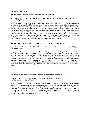### **BOTANY (CONTINUED):**

### **502. WATERING SCHEDULE FOR OPTIMAL GRASS GROWTH**

Samuel Brodetsky, Block 4 Science Class, Marine Academy of Technology and Environmental Science (MATES), Advisor: Dr. Igal Brodetsky

Grass is the most irrigated crop in the US. Water is fast becoming a scarce resource. Saving on water usage is paramount in all aspects of our life. Most grass in the US is overwatered. Grass is irrigated 3 times more than corn. It will be beneficial to find the optimum amount of water grass needs for optimal growth. This study attempted to ascertain the optimal watering schedule for grass under varying environmental conditions. Since the study was done over the winter, the grass had to be grown indoors. The experiment set up three different watering levels at low and high humidity conditions. The grass growth was recorded weekly. After each recording the grass was cut to simulate normal lawn mowing. The study found that past a certain watering amount the grass growth leveled off, thus wasting water. The optimal watering amount was calculated using mathematical extrapolation. This project was limited in the amount of environmental conditions that could be studied. Although it does show a trend, more study is required to figure out the optimal watering schedule under all climate conditions.

### **503. PIGMENTATION IN FLOWERS: INHERENT COLOR VS ORGANIC DYES**

Jessica Carrer, Block 4 Science Class, Marine Academy of Technology and Environmental Science (MATES), Advisor: Mr. Werner

The purpose of this experiment was to discover the flowers (tulips) reaction to added organic dyes in its water. Store bought, cut red, yellow and white tulips were used for the experiment. During the two 1 week long trials, the colored tulips were placed on a separate vase from the white ones. These colored tulips were a used as comparison for the white ones that were gradually dyed. Results showed that the white tulips had streaks of tinting throughout their stems and petals. It was also recorded that the tulips with dyed water did not absorb as much water. It was discussed that the plants may have detected the dye as a foreign object in the water and therefore consumed less water to keep from absorbing the dye. The tulips with dyed water did wilt and die faster than the control set of naturally colored tulips. It was concluded that natural pigmentation creates a more vibrant color and proves to be healthier for the flowers.

### **504. SUNFLOWER GROWTH UNDER DIFFERENT SPECTRUMS OF LIGHT**

Ryan Jones, Block 2 Science Class, Marine Academy of Technology and Environmental Science (MATES), Advisor: Mr. David Werner

Sunflowers need a source of light to go through photosynthesis and continue to live. In nature, sunflowers use sunlight as the light source. In this experiment, sunflowers were supplied with sunlight, incandescent light, and fluorescent light respectively to see which plant grows the best. I set up three sunflowers and provided them with equal quality soil, water, and environment. Each plant received a different light, and every seven days the height of each sunflower was recorded. After thirteen weeks data was no longer collected. It showed that sunflowers grew the best under the sunlight due to its species adaptation to the light. The sunflowers grew the slowest and died under UV-light, showing that it is not healthy for this species of plant.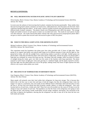### **BOTANY (CONTINUED):**

### **505. WILL MICROWAVING WATER IN PLASTIC AFFECT PLANT GROWTH?**

Olivia Kaiafas, Block 4 Science Class, Marine Academy of Technology and Environmental Science (MATES), Advisor: Mr. Werner

In recent years the safeness of microwaving food in plastic containers has become questionable. Many studies show that microwaving food in plastic containers can leach toxins, called plasticizers, from the plastic into the food, which could have harmful long-term effects. In this study 3 species of plants received water that had been microwaved in different kinds of plastic containers. The plastics chosen were Polypropylene and a BPA free plastic. The average height and number of leaves of each species of plant was recorded each week. The results for each species of plant were then analyzed. The results showed that plants watered with water microwaved in polypropylene plastic didn't not grow as much as plants that received water microwaved in glass or BPA free plastic.

### **506. WHAT IS THE IDEAL LIGHT LEVEL FOR GROWING PLANTS?**

Michael Luckhowec, Block 3 Science Class, Marine Academy of Technology and Environmental Science (MATES), Advisor: Mr. David Werner

This experiment tested the hypothesis that plants grow best when provided with 12 hours of light daily. Three groups of six organic basil plants were placed under lamps set for different amounts of time with the light on. One group had no lamp, with only the sunlight from a south-facing window to provide it with light. Another group was placed under a lamp that provided the plants with twelve hours of light daily, and the last group was placed under a lamp that was constantly on, twenty-four hours per day. The plants with only sunlight, which was about 8-10 hours of sunlight during the winter, grew very little over the course of the fourteen week long experiment. The plants exposed to twelve hours of light grew semi-well, growing to a moderate height, and the plants exposed to twentyfour hour light were the tallest plants out of all of the groups, making twenty-four hours of light exposure the most effective way to grow indoor plants year round.

### **507. THE EFFECTS OF TEMPERATURE ON DIFFERENT FRUITS**

Zane Nogueras, Block 1 Science Class, Marine Academy of Technology and Environmental Science (MATES), Advisor: Mr. Dave Werner

Many people will primarily store their food within their refrigerator for long term storage. This is because they believe this is the best way to store fruit and keep it fresh the longest, but does the refrigerator help it truly last longer? To come to a conclusion, tests were made on four different fruits to determine where the best place to store the fruit is. All four fruit were placed into three locations: outside, indoors, or within the refrigerator. Also, each location had two of each fruit, a whole and a half. These fruit were all recorded over the course of 30 days to see the change of mass and volume of each fruit. The hypothesis was that the fruits in the refrigerator were going to store the apple the best, with storing it inside would better suit the orange, mandarin, and banana. The conclusion at the end came to disprove the hypothesis, showing that the refrigerator was able to store all of the fruits the best over both inside and outside.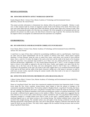### **BOTANY (CONTINUED):**

### **508. HOW DOES DETRITUS AFFECT MARIGOLD GROWTH?**

Kaylee Shepard, Block 1 Science Class, Marine Academy of Technology and Environmental Science (MATES), Advisor: Mr. David Werner

This project provides information to demonstrate how detritus affects the growth of marigolds. Detritus is sand, soil, or other material made by erosion of organisms usually found at the bottom of the marsh. Nine flower pots were used, three filled with soil, another three filled with detritus, and the others filled with a mixture of both. After fifty days of measuring the plants, all of the data was evaluated. All of the marigolds in soil sprouted and only one planted in the mixture was able to grow, the other flowers showed no sign of growth. The conclusion that detritus has negative effects on marigolds was understood after the experiment was completed.

### **ENVIRONMENTAL:**

### **601. DO SAND FENCES AND BEACH WIDTH CORRELATE IN INCREASES?**

Evan Chester, Block 1 Science Class, Marine Academy of Technology and Environmental Science (MATES), Advisor: Mr. Dave Werner

A sand fence is a type of fence that is utilized for accumulating windblown sand in a specified place. Sand fences are often used for beach replenishment and for the creation of artificial sand dunes, which protect exposed shorelines. In Point Pleasant, along the coast of central New Jersey, sand fences were erected to form artificial dunes. Once a week for 14 weeks, the height of the sand on the fence and the width of the beach at five locations along the sand fence were measured and recorded to see if there were any relation between the two variable's increases and decreases. Additionally, a  $6<sup>th</sup>$  site, located midway between the  $1<sup>st</sup>$  and  $2<sup>nd</sup>$ , to see if changes occurred faster or slower in the middle as opposed to the end of the fence. Finally, sand samples were taken from the five primary sites at the fence and at the berm, and were subsequently sieved to find if there was a difference or correlation in the granularity of the sand. The results of this study suggest there is no correlation between the height of the sand on the fence and the width of this beach. However, testing over a full season is necessary in order to yield more accurate results, especially during the summer months when there tends to be more of a depositional process in dune accretion.

### **602. EFFECTIVE DUNE FENCING METHODS ON LONG BEACH ISLAND, NJ**

Colleen Cochran, Block 1 Science Class, Marine Academy of Technology and Environmental Science (MATES), Advisor: Mr. Jason Kelsey

Dunes on Long Beach Island, New Jersey have experienced complete devastation from Superstorm Sandy. In many towns along the New Jersey coastline, strong primary dunes helped to limit the amount of damage to the communities immediately behind them. The location studied in Brighton Beach, Long Beach Township, had dunes that were completely engulfed by the ocean. Long Beach Township tried to restore the dunes by manually pushing up sand. Although, this produced immediate visual results providing great comfort to oceanfront homeowners, it did not provide a sufficient barrier against erosion on the months to follow. Previous studies have suggested that the most efficient way to accrue sand is dune fencing to capture wind-blown sand. On Long Beach Island fencing is commonly arranged in a straight fashion from north to south. In this study a modified method was created, by attaching diagonal east to west lateral sections to the existing fencing. This method exhibited faster vertical sand accretion than straight fencing. The extended surface area and angles of the fencing is believed to be the factor affecting sand growth. Wind patterns also play a key role in dune growth. Without a sufficient wind speed the sand cannot be blown up onto the dunes. This study clearly suggests that the modified fencing increases sand accretion along Long Beach Island dunes.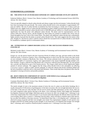### **ENVIRONMENTAL (CONTINUED):**

### **603. THE EFFECTS OF AN INCREASED EXPOSURE OF CARBON DIOXIDE ON PLANT GROWTH**

Katherine DeMario, Block 1 Science Class, Marine Academy of Technology and Environmental Science (MATES), Advisor: Mr. Dave Werner

Trees are specially adapted to absorb carbon dioxide and release oxygen into the environment. Carbon dioxide levels have been increasing in the past decade. The current carbon dioxide levels in the atmosphere is approximately 397 parts per million. The rate of carbon dioxide accumulation has been increasing at a steady rate of about 2 parts per million each year. Higher levels of carbon dioxide stimulated on plants yielded increased plant growth. The growth of the plants controlled at normal carbon dioxide levels of 600-800 parts per million in a closed environment grew significantly less than the plants with additional carbon dioxide. The plants used for experimentation were the eastern white pine, Norway spruce, and the Douglas fir; these plants are common in southern New Jersey and are found throughout the East Coast of the United States. The plants with additional carbon dioxide had a substantially higher amount of growth than the plants at normal carbon dioxide levels. This study suggests that the eastern white pine, Douglas fir, and Norway spruce could be used to absorb the increased levels of carbon dioxide as and should be considered as candidate species in reforestation efforts.

### **604. ESTIMATION OF CARBON DIOXIDE LEVELS IN THE CRETACEOUS PERIOD USING** *EXOGYRA SP.*

Michaela Lozada, Block 1 Science Class, Marine Academy of Technology and Environmental Science (MATES), Advisor: Mr. Dave Werner

*Exogyra sp.* was the species found in the late Cretaceous Period, 65 million years ago, and most similar to the North American oyster, *Crassostrea virginica*. Once a flourishing species in what is now the New Jersey area, their fossils are now extremely common at Big Brook, New Jersey. The calcium carbonate levels of specimens of these fossils and discarded shells of *Crassostrea virginica* were approximated to the nearest hundredth through multiple acidbase titrations. *Exogyra* collected from Big Brook and *Crassostrea* collected from Barnegat Bay, NJ were ground into a powder and dissolved as part of the titration process. The *Exogyra* shells had an overall significantly higher amount of calcium carbonate. This suggests that the rising carbon dioxide levels in the atmosphere are affecting *Crassostrea virginica's* ability to make calcium carbonate. It could also indicate that bivalve predation shifted and the lack of predators could have led to a decreased shell thickness. These results help show the general effect that the atmosphere is having on bivalves and possibly predation.

### **605. ROOT STRENGTH COMPARISON OF ASIATIC SAND SEDGE (***Carex kobomugi***) AND AMERICAN BEACH GRASS (***Ammophila breviligulata***)**

Courteney Monchinski**,** Block 1 Science Class, Marine Academy of Technology and Environmental Science (MATES), Advisor: Mr. Dave Werner

The tensile strength of roots is the maximum amount of stress the root of a plant can take before breaking; this is usually measured in N (Newtons) or kg (kilograms). In the dune ecosystem, this root strength determines the success of the dune; if the roots are weak, the dune will not survive storms and other phenomena. In New Jersey, there are two main competitive plant species thriving in the dunes: *Carex kobomugi* (Asiatic Sand Sedge) and *Ammophila breviligulata* (American Sand Sedge). Both plant species are known for their root strength, but *C. kobomugi* is one of the least wanted plants New Jersey because it is an invasive plant that threatens the delicate dune ecosystem with overcrowding. Many seek to remove *C. kobomugi* from the dunes, which will help to maintain native dune species, but can affect the stability of the dune structure. At Island Beach State Park, *A. breviligulata* and *C. kobomugi* were observed in terms of growth and their root strengths were tested. Five representative samples of each species were brought to MATES for further testing on stem strength. It was found that *A. breviligulata* had stronger root strength than *C. kobomugi*, and it would be a beneficial plant to maintain over *C. kobomugi* in our dune systems.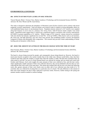### **ENVIRONMENTAL (CONTINUED):**

### **606. EFFECTS OF MOUNTAIN LAUREL ON SOIL NITRATES**

Vincent Musanti, Block 1 Science Class, Marine Academy of Technology and Environmental Science (MATES), Advisors: Mr. Dave Werner and Mr. Jason Kelsey

This study is designed to determine the abundance of Mountain Laurel (*Kalmia latifolia*) and its relation with mixed temperate overstory stand density. Total soil nitrates were tested in order to explain its strong allelopathic effects on well-established humus layers in oak-dominant forests. Population density (stems/m²) of *K. latifolia* were sampled along belt transects in seven areas in a Jackson, New Jersey forest, while B horizon nitrate samples were tested (ppm). Quantified results suggest that *K. latifolia* has a significant negative correlation with overstory stand density (p<0.0001) in greater populations of *K. latifolia*. Within a range of 0-41 stems/m², nitrates showed no correlation with stem density but instead a significant loss in total  $NO<sub>3</sub><sup>-</sup>$  levels (p<0.0001). Other factors such as soil moisture, pH, forest age, and light deficiency may have been more present, thus prohibiting further overstory development compared to nitrates and allelopathic litter composition. This research may provide a better understanding of nitrate leeching and soil dynamics within forests.

### **607. DOES THE AMOUNT OF LITTER ON THE BEACH CHANGE WITH THE TIME OF YEAR?**

Dean Sussman, Block 1 Science Class, Marine Academy of Technology and Environmental Science (MATES), Advisors: Mr. David Sussman

The beach is always being traversed by people, and consequently always being littered on. However, the beach is much more heavily occupied in the warmer months than in the colder ones. Reason would follow, then, that there would be more litter when the weather is warmer than when the weather is colder. But does this correlation show up when tested in real life? An area of a Point Pleasant beach was selected for testing, and was tested each week from October until February. Each week roughly the same amounts of litter were collected at first, until the later weeks, where significantly smaller amounts of litter were collected. However, this can be attributed to the fact that we were collecting the litter each week in the same place. This meant that residual litter did not stay to be there the following week; also, greater amounts of litter were clearly seen on either side of our collection area than inside of it. To conclude, data was collected by locating litter on a particular area of a beach. The only difference in the amount of litter each week seemed to be due to litter collection in previous weeks. However, further testing in the spring and summer months would be needed to confirm findings.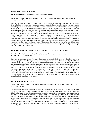### **HUMAN HEALTH AND FUNCTION:**

### **701. THE EFFECTS OF EYE COLOR ON LOW LIGHT VISION**

Edward Fengya, Block 1 Science Class, Marine Academy of Technology and Environmental Science (MATES), Advisor: Mr. Jason Kelsey

Human low light vision is known as scotopic vision and is dependent on the amount of light that enters the eye and hit the rod cells in the retina. Many people are aware that people with lighter eye colors are more prone to squinting in bright light conditions. It is also important to wear eye protection in bright light conditions, because the lighter pigment of the iris lets more light into the eyes thus possibly causing harm. However, little research has ever been performed on the effects of lighter eye colors on low light vision. To perform this test it was necessary to find a sample text that had everyone of all reading abilities on an equal level. Thus a sample text was chosen in Latin in order to disallow people from speed reading by knowing the shapes of words. Participants were chosen with a roughly equal amount of light eyed and dark eyed people. The participants were introduced into a room with all of the lights on with a sample text 4 feet away from them on a wall. The participants were told to read the sample text as fast as possible while still maintaining accuracy. The times and the number of mistakes made by each participant was then recorded and grouped by eye color. Blue, Green, and Hazel eyes were considered "light" in the testing and Brown was considered "dark" for the experiments. The data was then analyzed for a trend between light eyes and low light vision. A correlation was identified between accuracy and time with people with light colored eyes compared to people of darker eye colors.

### **702. WHICH BRAND OF LIQUID ANTACID HAS THE FASTEST REACTION TIME?**

Krisha Fernandez, Block 1 Science Class, Marine Academy of Technology and Environmental Science (MATES), Advisor: Dr. John Wnek

Heartburns are burning sensations felt in the chest caused by unusually high levels of hydrochloric acid in the stomach regurgitated into the esophagus. To relieve this pain, an antacid in the form of a liquid or tablet is consumed. Liquid antacids are preferred over tablets because suspensions act faster than solutions, and suspensions offer more surface area for the antacid to neutralize hydrochloric acid. All liquid antacids neutralize the acidity of the stomach, but if different volumes of hydrochloric acid were added to the solution, which brand of liquid antacid would react the quickest and turn from acidic to basic? In this experiment, five different brands of liquid antacids were utilized, and different volumes of HCl – 20 mL, 40 mL, and 60 mL – were added to the suspension composed of water, liquid antacid, and Phenolphthalein Indicator. Phenolphthalein Indicator was used to indicate whether the suspension was acidic or basic. Because this experiment was dependent on the color change of the Phenolphthalein Indicator, the reaction times for four of the antacids were inconclusive due to no indication of the suspensions turning from basic to acidic or acidic to basic.

### **703. IMPROVING NIGHT VISION**

Georgia Garrow, Block 3 Science Class, Marine Academy of Technology and Environmental Science (MATES), Advisor: Mr. Jason Kelsey

The retina of the human eye contains rods and cones. The rods function in lower levels of light and the cones function in higher levels of light. The rods take time to adjust from the dark to light. Many peoples' eyes have difficulty adjusting to the dark. This experiment was established to determine if covering one eye before going in the dark improved night vision. 20 individuals- 10 people of age 10-20 and 10 people of age 30-40, were subjected to an obstacle course in the dark. Before completing the course, the individuals would cover an eye in the light for 5 minutes in hope of improving their sight when completing the course. The data was analyzed into three categories: which eye was covered, age groups, and males versus females. Adults showed slightly more improvement than children, and males and females had almost the same improvement. The right eye showed a small amount more improvement than the left eye. It was found that covering one eye before completing the course was very successful in improving night vision.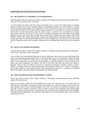### **HUMAN HEALTH AND FUNCTION (CONTINUED):**

### **704. ARE STUDENTS IN A PROPERLY LIT ENVIRONMENT?**

Dylan Manuguerra, Block 4 Science Class, Marine Academy of Technology and Environmental Science (MATES), Advisors: Mr. Jason Kelsey and Dr. John Wnek

A constant health issue in this world's day and age is declining vision. A cause of this is that people are constantly sitting at computers all day either working, surfing the web, playing video games, etc. Whilst sitting at a computer all day, one can develop Computer Vision Syndrome (or CVS for short); this is when one's eyes become irritated, dry, and strained. Over time, CVS starts to induce long term damage one's eyes. Students are working on computers almost daily in school environments, either for projects, essays, or classwork. So, are students in the proper environment so that they will not get CVS? To come to a conclusion, 80 laptops were tested along with the ambient lighting in several rooms. These sources of light were measured in lux, (or lumens per square meter), which is light intensity. Ambient and computer light intensity averages were added together to determine whether rooms in the average high school met the standard of light intensity for daily computer work. From the data, it was determined that the average high school (when working on computers) has a much higher light intensity than they are supposed to.

### **705. EFFECTS OF GENDER ON HEARING**

Alexandra Passaro, Block 1 Science Class, Marine Academy of Technology and Environmental Science (MATES), Advisors: Mr. Jason Kelsey and Dr. John Wnek

The ear is able to hear many different frequencies of sounds. Studies have shown that as you age your hearing ability lessens, but has anyone thought of gender when it comes to hearing? To come to a conclusion, I conducted a simple hearing test with the help of the school nurse to six students. The students consisted of three females and three males. The test administered was on both the left and the right ear. The left and right ear's tests were broken down further into several frequencies. The subjects were told to raise their hand when they heard each change in frequency. After the data was collected, each test was separated and analyzed according to gender in order to identify a correlation between the surveyed individuals. Each gender had 100% correct accuracy. Unfortunately, these results revealed no certain gender having a better hearing ability; therefore, no correlation was identified between the genders, showing no relation to hearing loss in the specific genders.

### **706. WHICH GENDER HAS BETTER PERIPHERAL VISION?**

Shaina Patel. Block 4 Science Class, Marine Academy of Technology and Environmental Science (MATES), Advisor: Mr. David Werner

Males are most likely to suffer from color blindness than women, but women do have a very small chance of suffering from color blindness. The purpose of this research project was to find which gender, male or female, had better peripheral motion vision, and better peripheral color vision. The research was conducted by making a vision protractor. Then the volunteers would have to detect an object in motion in their peripheral while looking straight ahead. The volunteers would also have to determine the color of the object that is being moved in their peripheral, also while looking straight ahead. The results show that females have a better peripheral motion vision, and better peripheral color vision.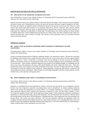### **HUMAN HEALTH AND FUNCTION (CONTINUED):**

### **707. THE EFFECTS OF EXERCISE ON BRAIN FUNCTION**

Alex Welsh, Block 1 Science Class, Marine Academy of Technology and Environmental Sciences (MATES), Advisors: Mr. Jason Kelsey and Dr. John Wnek

Exercise has been found to have positive effects on the brain function of humans. This is because exercise stimulates the brain in many ways. During physical activity, the heart rate increases and more oxygen is pumped to the brain. The body also releases an abundant amount of hormones that aid in the growth of new brain cells. These are valid reasons that would cause brain function to be positively affected by exercise. However, does exercise actually improve brain function? With the intent of authenticating the proposal that exercise improves brain function, an experiment was conducted on individuals of various ages. The participants were asked to partake in twenty minutes of walking followed by a brief multiplication and division test. These results were then compared to the results of a similar test taken after twenty minutes of sitting. The outcome of this experiment shows no correlation between exercise and brain function.

### **PHYSICAL SCIENCE:**

### **801. WHAT TYPE OF WOOD IS SUPERIOR WHEN EXPOSED TO DIFFERENT WATER SALINITIES?**

Christopher Boyce, Block 4 Science Class, Marine Academy of Technology and Environmental Science (MATES), Advisor: Mr. David Werner

Wood is constantly being exposed to different conditions whether it be terrestrial or aquatic. Because the wood used for building varies between areas, people therefore believe that the wood in their area is the best against Mother Nature. However, is there a wood that is commonly used, but not labeled as the best structure for buildings? Wherever you build a structure, it will experience some sort of a weather condition, such as precipitation in the form of rain and snow. These weather conditions depend on the location of the building though, as a buildings near the shore of an ocean will experience salt spray, while inland building will strictly experience fresh water. Taken into consideration, three water solutions were made as followed; fresh water, salt water of 15ppt, and salt water of 30ppt. Three types of wood were utilized in this experiment. Poplar (Populus), a hardwood, pine (Pinus), a softwood, and red oak (*Quercus rubra*), a hardwood. After all types of wood being submerged in all three water solutions, red oak claimed victor as the supreme wood against water.

### **802. DOES TEMPERATURE AFFECT SAXOPHONE INTONATION?**

Liam Dorsey, Block 3 Science Class, Marine Academy of Technology and Environmental Science (MATES), Advisor: Mr. David Werner

Intonation is something that has been debated for centuries. Since the jazz age and the rise of saxophones, this has become even more important, especially concerning factors such as temperature. In outdoor playing conditions where in the summer the temperature can exceed 100°F, it is extremely important as a musician to be informed about intonation. Musical theory explains that intonation is measured in cents, and that being a number of cents lower than the standard is being "flat" and the opposite is being "sharp". In this experiment, intonation correlating to temperature is tested with heat lamps, and an alto saxophone. This will determine how intonation is affected, and if the average human will be able to tell the difference. I hypothesized that as the temperature rises, the instrument will become sharp. The results were quite indecisive. The first trial generally followed my hypothesis while the saxophone actually became flat during the second trial. After further research, it was concluded that more trials were needed to prove any hypothesis regarding intonation and temperature. It was also concluded that in a band setting, a human would be able to tell if instruments were out of tune.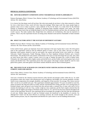### **PHYSICAL SCIENCE (CONTINUED):**

### **803. HOW BEACHFRONT CONDITIONS AFFECT BOARDWALK WOOD FLAMMABILITY**

Patience Harrington, Block 2 Science Class, Marine Academy of Technology and Environmental Science (MATES) Advisor: Mr. Jason Kelsey

It is a known fact that damp wood will not burn. But what most people do not know is that when exposed to a flame for even a short burst of time, wood will show long term damage. When large scale fires erupt, people begin to question what to do in order to prevent a mass outbreak of fire for the future. In a study done for the National Institute of Standards and Technology, methods of preparing flame retardant solutions were tested. The study describes the many layers that are being developed in new fire retardant polymers and how they all contribute to the wood's success. The study explains that, though these new solutions are revolutionary, they may be expensive to produce. That is why this experiment focuses on testing easily obtained wood and how flammable or flame retardant it is.

### **804. WHAT FACTORS AFFECT THE SUSTAIN OF DIFFERENT GUITARS?**

Matthew Korwan, Block 3 Science Class, Marine Academy of Technology and Environmental Science (MATES), Advisors: Mr. Dave Werner and Mr. David Petillo.

In the world of music, guitars are important. Even more important is the type of guitar that is used. All of the guitars used in this experiment could be used for different genres of music, such as rock, blues, and jazz. In order to determine which guitars should be used for each genre, the sustain and decibel levels were tested for a Fender Telecaster, Fender Stratocaster, Fender Mustang, Gibson Les Paul, Epiphone (Gibson) Firebird, and a Gretsch Electromatic. The decibel levels and sustains varied based on the type of wood and strings that are used. Also, there are more factors that affect a guitar's sustain, such as its age or whether the guitar has a solid or hollow body. Ultimately, the Gibson guitars had a higher sustain and decibel level, and the Fender and Gretsch guitars had a lower sustain and decibel level. This experiment proves that some guitars with longer sustains should be used for more guitar-heavy genres, and some guitars with shorter sustains should be used for more orchestral genres.

### **805. THE EFFECTS OF ACID RAIN ON CONCRETE WITH VARYING RATIOS OF PORTLAND CEMENT, SAND AND GRAVEL**

Jessica Olsen, Block 1 Science Class, Marine Academy of Technology and Environmental Science (MATES), Advisor: Mr. Jason Kelsey

Acid rain is formed by the chemical reaction between sulfur dioxide and nitrogen oxides within the air. As acidic precipitation comes into contact with infrastructure such as highways and bridges, the concrete gradually corrodes, which in turn compromises the strength, durability, and longevity of that structure. On average, New Jersey receives 106.7 cm (42 in.) of rainfall each year. This experiment simulated approximately 753 years of rainfall on each tile, which can portray the long term effects of traffic and the concentrated flows along curb lines. Five varying mixes of Portland cement, sand, and gravel were formed into tiles and put under a constant flow of water with a pH of 4.0 to simulate the battering of acid rain. Four, weekly weigh-ins were conducted, and the final weigh-in showed that the mixture with the highest percentage of Portland cement (Tiles E1, E2, and E3) lost the least material throughout the course of the experiment. However, this experiment did not investigate the strength of the tiles after the introduction of acid rain. Neither large ratios of sand nor Portland cement are beneficial to the durability of concrete. So, although the E batch was the most effective in resisting corrosion, the overall strength of the concrete, once put under extreme pressure, may be compromised and therefore be a poor choice to use for building infrastructure.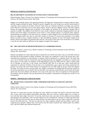### **PHYSICAL SCIENCE (CONTINUED):**

### **806. DO DIFFERENT SALINITIES OF WATER AFFECT MAGNETISM?**

Robbie Roettger, Block 3 Science Class, Marine Academy of Technology and Environmental Sciences (MATES), Advisors: Mr. David Werner and Dr. John Wnek

Magnets are essentially objects with opposing positively and negatively charged particles existing within the object, and this category includes all matter. Similar to gravity, magnetic forces are acting on us and the world around us constantly, and are present in all matter. However, these forces are sometimes miniscule in strength, and cannot be easily observed or observed at all in some objects (again, similar to gravity). Magnets interact with other magnets because the negatively charged ends of particles in one magnet are attracted by the positively charged ends of particles in another. The addition of salt (NaCl) to water creates a solution of somewhat charged particles as the salt and the water bond. Higher concentrations of salt result in a more charged solution, so would this affect magnets? Would placing two magnets in salt water result in a stronger or weaker magnetic force? Would the distance between these two magnets before they stuck to each other increase or decrease? To answer these questions, a five gallon bucket was used to lower a magnet attached to a rope into different salinities of water with another magnet at the bottom, and the rope length was measured after each test. The results of this study were inconclusive as to whether or not the salt water made any difference in the magnetic strength of the magnets.

### **807. THE CREATION OF BIOMASS/METHANE IN A SURBURBAN HOUSE**

Juan Salazar, Block 1 Science Class, Marine Academy of Technology and Environmental Science (MATES), Advisor: Mr. Jason Kelsey

Biomass and methane are really important parts to the present now and the near future, they are renewable resources that help full fill the demand of energy worldwide. This project was conducted to verify if the process that a selfsustaining farm undergoes to create biomass or methane could be reproduced in a suburban house. The initial idea was to see if methane could be created from some decomposing fruits and vegetables concealed in a container and then to burn it to see if there was methane. In the beginning the vessels were filled with air, which is mostly made out of Nitrogen an inert gas, so the vessels were basically 80% full of an inert gas, which would point the experiment in a direction of failure. From the data it was concluded that a gas or gases were being created since the pressure was rising in the vessel. When the gas was attempted to be lit it didn't light up, the gas would only displace the flame. The reason for this is because there was a higher concentration of nitrogen then the other gas created. In the end the experiment was successful in the fact that there was some gas created and that can be proven from other studies that show that methane and ethylene were some of the gases since they are byproducts of decomposition. The methane and the ethylene were just pressurized with the greater concentration of nitrogen that caused it to not be flammable.

### **SPORTS – PHYSIOLOGY AND FUNCTIONS:**

### **901. HEART-RATE COOLDOWN TIME COMPARISON BETWEEN ALTHLETES AND NON-ATHLETES**

Nikolas Decker, Block 4 Science Class, Marine Academy of Technology and Environmental Science (MATES), Advisor: Mr. Jason Kelsey

The heart is a muscle that can grow and adapt over time. Athletes are people who tend to work their heart often. This, in turn, makes them happier and healthier individuals. But, does a person's athletic ability have an effect on how well their heart adapts over time? To test this, initial heart-rates were taken for the athletes and non-athletes participating in the experiment. They were then asked to run on a treadmill for 3 minutes at 5 mph to get their heart rate up. Their post-exercise heart-rate was taken and they were then timed to see how long it would take to get back down to the initial heart-rate. The data was split into two major categories, athletes and non-athletes, and two subcategories, boys and girls. Athletic boys were found to have the lowest cooldown time. Athletic girls, Non-Athletic boys, and Non-Athletic girls followed respectively.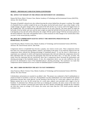### **SPORTS – PHYSIOLOGY AND FUNCTIONS (CONTINUED):**

### **902. EFFECT OF WEIGHT ON THE SPEED AND MOVEMENT OF A BASEBALL**

Damon Del Priore, Block 3 Science Class, Marine Academy of Technology and Environmental Science (MATES), Advisor: Mr. David Werner

The game of baseball is played every day without knowing the science behind how the game is working. The weight of a baseball (5oz) is a perfect weight for the use of the game, but the ball surely doesn't stay at that weight. As the weight changes, the game changes with it. The speed of the ball and the way it moves will be the biggest factor of the weighted ball. This can determine the difference between an out and a base-hit. The faster speed can make the ball jump of the bat farther and carry and the more weight can make the ball dull off the bat and not soar in the sky. It all depends on how the ball will be affected by the weight. Will the speeds change? Will the movement patterns of the ball be different? This study will hopefully lead to a solid conclusion on what changes to be worried about when you aren't in the normal playing conditions.

### **903. HOW DO COMPRESSION SLEEVES AFFECT THE SHOOTING PERCENTAGE OF BASKETBALL PLAYERS?**

Grant DiGrazio, Block 3 Science Class, Marine Academy of Technology and Environmental Science (MATES), Advisors: Mr. David Werner and Dr. John Wnek

Compression sleeves in basketball have become a popular, new trend in recent years. These compression sleeves have been very controversial among athletes, analytics, and students of the game. It was relatively unknown how the compression sleeve affected the shooting percentage of basketball players. To test the sleeve's effectiveness, an experiment was conducted, in which well experienced participants shot with and without the compression sleeve for three individual trials. For each trial, the participants shot from the free throw line, a 15 foot shot, 10 times. The results from the experiment did not conclusively show that a compression sleeve increased the performance and shooting percentage of the basketball players. In fact, the compression sleeve was not only ineffective, but also proved to be detrimental to most of the basketball players' shooting percentage. The conclusion was made that compression sleeves should not be worn in order for basketball players to achieve peak performance.

### **904. ARE CARBS OR PROTEIN THE KEY TO FAST SWIMMING?**

Anna Francisco, Block 3 Science Class, Marine Academy of Technology and Environmental Science (MATES), Advisor: Mr. Dave Werner

Carbohydrates and proteins are essential in an athlete's diet. This project was conducted to find if carbohydrates or protein are better to eat before a swim race. The hypothesis was that carbohydrates were more beneficial for optimal performance because they create glucose. On the morning of the first day of a swim meet, subjects were given a Balance protein bar to eat. On the second day of a swim meet, subjects were provided with a bagel to eat for breakfast. To determine how efficient each food was in helping the swimmer, the times swam in that meet were compared to the swimmer's personal best times before the meet. Results concluded that, though the day swimmers ate carbs they swam on average 2.13% slower, the swims were faster than the 2.70% slower proteins made the swimmers swim.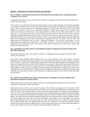### **SPORTS – PHYSIOLOGY AND FUNCTIONS (CONTINUED):**

### **905. IS THERE A DIFFERENCE BETWEEN THE HYPERVENOM PHELON FG AND MERCURIAL VAPOR IX FG CLEATS?**

E. Stephen Hudak, Block 3 Science Class, Marine Academy of Technology and Environmental Science (MATES), Advisor: Mr. Jason Kelsey

Soccer players want cleats that will make their skills superior to those of their opponents. This research experiment was conducted to determine if two of the most popular Nike cleats contribute to a difference in performance among players. The two cleats tested were the Hypervenom Phelon FG and the Mercurial Vapor IX FG. The testing conducted to determine if there was a performance difference included many in-game soccer situations. Four subjects were made to wear both pairs of cleats and participate in a number of tests. These tests included: a 20 yard linear run, a 21 yard zig-zag run, and an 18 yard shot on goal for which the speed of the kick was measured. Although the Hypervenoms did make the player run faster in both the linear and zig-zag tests, there was not a significant difference in the shot travel time. However, there was not a great enough statistic significant difference between the comparisons of the cleats' performances to determine that one was superior over the other. The Hypervenoms and Mercurials did not make a significant difference in the player's performance, but the Hypervenoms did outperform the Mercurials in the running speed tests. The shot travel times varied as certain participants kicked harder than others; shot location varied, and shot trajectory also varied. Thus, neither cleat helped excel shot travel speed.

### **906. MLB PARK FACTORS: HOW TO DETERMINE WHICH STADIUMS FAVOR PITCHERS AND HITTERS THE MOST**

Allie Immerso, Block 1 Science Class, Marine Academy of Technology and Environmental Science (MATES), Advisor: Dr. John Wnek

Every Major League Baseball (MLB) stadium has its own unique features, which causes players to perform differently at each stadium. Park factors based off of hits determine which stadiums are better for hitters, and which favor the pitcher. A park factor calculation that is greater than 1.000 means that the stadium is advantageous for the hitter, and a calculation that is less than 1.000 is beneficial to the pitcher. To determine which stadium is the best for a hitter, and which one is the best for a pitcher, park factors for each MLB stadium were collected over twelve years. Each stadium's overall average was calculated, and the most hitter and pitcher friendly stadiums were found. It was concluded that Coors Field in Denver, Colorado is the best ballpark for getting hits, and Petco Park in San Diego, California favors the pitcher the most. Coors Field had an average park factor of 1.186, and Petco Park had a park factor of 0.890.

### **907. HOW DO THE FORCES OF MALES AND FEMALES COMPARE TO EACH OTHER OVER DIFFERENT HIEGHTS IN HIGH JUMP?**

Hallie Lazaro, Block 1 Science Class, Marine Academy of Technology and Environmental Sciences (MATES), Advisors: Mr. Jason Kelsey and Dr. John Wnek

High Jump has been a field event in track for centuries. The technique for jumping over the bar has evolved throughout the years and eventually settled with the Fosbury-flop. It is considered the best and most efficient was to jump over the bar. The technique requires as fast run up and an explosive jump. This therefore causes the athlete to exert a lot of force. The study focused on the amount of force exerted between the two genders at different heights. The force was calculated by measuring the final ground contact in seconds as an athlete runs in to jump over several heights. The study showed an average final ground contact time for each gender, this was used to calculate the force. The results suggest that males exert more force that females when going over the same height. This could be because the final ground contact time for the males was faster, indicating a faster run in. Males are also heavier and have a higher muscle mass, even though muscle mass was not accounted in this study, than females. Females exerted less force because they are lighter and have a slower final ground contact. This study could guide athletes to how fast they should run in and how strong their final jump should be in high jump.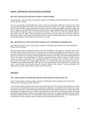### **SPORTS – PHYSIOLOGY AND FUNCTIONS (CONTINUED):**

### **908. BEST ANGLES FOR SOCCER PLAYERS TO SHOOT FROM**

Olivia Montanha, Block 3 Science Class, Marine Academy of Technology and Environmental Science (MATES), Advisor: Mr. Dave Werner

Soccer is a very popular, internationally-known sport. In order to win the game, a ball must be shot into a net. There are many different angles that the ball can be shot from, but there are a main 5. A 0° angle is straight in front of the goal. It is the most direct angle and therefore the easiest to score from and has the highest scoring percentage. The two 45° angles are from the middle of the goal and can be drawn as lines through the top corners of the penalty box. These angles are moderately easy to score from and have about a 50% success rate. The most difficult angles to shoot from are the 90° angles. These are directly on the end line on each side of the goal. In order to score from these angles it takes a large amount of skill; the ball must be curved out and around the near post. Clearly displayed, the most ideal angle for a soccer player to shoot from is a  $0^{\circ}$  angle.

### **909. THE EFFECTS OF THE LENGTH OF WARM-UP ON A SWIMMER'S PERFORMANCE**

Alexandria Raab, Block1 Science Class, Marine Academy of Technology and Environmental Science (MATES), Advisor: Mr. Jason Kelsey

The term warm-up refers to the physical activity that is performed before a meet, game, etc. to prevent injury and to ready the body for intense physical activity. Warm-ups are very important and finding the right distance of a warmup is key; swimmers do not want to be too tired before their race from an extremely long warm-up, but they do not want to have too short of a warm-up and feel unprepared for their race. This study was conducted during the fall of 2013 at The Atlantic Club in Manasquan, New Jersey, to determine whether a shorter warm-up or longer warm-up enhances a swimmer's performance more; evaluating the females' times, males' times, and the two types of warmups overall. The results of this study suggest that there is a correlation between long and short warm-ups, a correlation between male long and short warm-ups, and a correlation between female long and short warm-ups. This study's results helped this particular group of swimmers decide which length of warm-up enhanced their performance more and could be used as a model for other swim teams.

### **ZOOLOGY:**

### **1101. WHAT KINDS OF SOUNDS DO FISH HAVE THE GREATEST REACTION TO?**

Nicole Crockett, Block 4 Chemistry, Marine Academy of Technology and Environmental Science (MATES) Advisors: Mr. David Werner and Dr. John Wnek

A fish uses their otoliths and their lateral lines to hear sounds underwater. The objective of this experiment is to find out what kinds of sounds fish react to the most while they are underwater. It is hypothesized that fish can hear lower noises better underwater. Fifteen different mummichogs (*Fundulus heteroclitus*) were put into a small tank. Sounds with frequencies ranging from 20 to 1000 Hz were played in the tank. All of the fish moved faster when high pitched noises were played. In addition, as the frequency increased, there was a greater variation of reactions. Sharks and other cartilaginous fishes have no swim bladder, and can only hear low pitched noises. The mummichog has a swim bladder; they have a greater range of hearing, and also hear high pitched noises easily.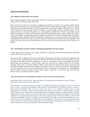### **ZOOLOGY (CONTINUED):**

### **1102. BIRDS ATTRACTION TO COLOR?**

Reno D'Agostini, Block 3 Science Class, Marine Academy of Technology and Environmental Sciences (MATES), Advisors: Mr. Jason Kelsey and Dr. John Wnek

Birds of all sorts are known to have better eyesight than any human ever known. This is because unlike humans birds have tetra-chromatic vision, which means that birds can see in a fourth spectrum of light. This type of vision is otherwise known as ultraviolet sight. Ultraviolet sight gets the name because instead of being able to see "visible colors" that are red, blue, and green, birds of all sorts can see violet light as well as the other colors. The real question; however, is how does being able to see a fourth spectrum of light affect the birds' natural habits such as eating? To experiment with these two bird feeders were painted two different colors one green, and the other yellow. The two bird feeders were then hung in similar conditions on a porch like environment. The experiment consisted of attempting to observe whether the birds were attracted to a deep green, or a very vibrant yellow. The results of this experiment show that the birds were in fact more attracted to the green bird feeder, and were least attracted to the yellow bird feeder. This study can further lead into the study of ultraviolet vision and the study of bird's behavior all together.

### **1103. HOW DOES SALINITY AFFECT THE REGENERATION OF SEA STARS?**

Clayton Mann, Block 4 Science Class, Marine Academy of Technology and Environmental Science (MATES), Advisor: Mr. Werner and Dr. Wnek

Sea stars are able to regenerate lost parts of their bodies, allowing arms and limbs to be lost and regenerated over time. Sea stars can regenerate, this is a known fact, but does the salinity of the water which the sea stars are in have any effect on the rates at which they regenerate? To come to a conclusion, sea stars were brought into small (3 gallon) tanks and acclimated to a certain salinity. There were three sea stars (*Asterias forbesi* and *Protoreaster nodosus*), each put into a tank with a different salinity, the first tank with around 10 ppt salinity, the second with around 25 ppt salinity and the third with around 41 ppt salinity. From here, the sea stars each had a limb amputated up to the central disk of the star. After a couple days, all three were deceased. The experiment was attempted again with *Protoreaster nodosus* instead of *Asterias forbesi*. Again, within days, all of the sea stars were deceased. Because of this, no conclusion could be reached.

### **1104. HOW DOES ELECTROFISHING IMPACT THE SMALLER FISH SPECIES?**

Justin Reuter, Block 1 Science Class, Marine Academy of Technology and Environmental Science (MATES), Advisors: Mr. David Werner and Dr. John Wnek

Electrofishing is a common and effective method for sampling and monitoring populations of fish in streams and lakes, as well as relocating fish populations when necessary. Electrofishing uses controlled electricity in water to shock fish and immobilize them in order to easily catch them. It is a relatively harmless process if used appropriately, but numerous studies have investigated the potential harmful effects of electrofishing on targeted species. However, few studies have explored the possibility of injuring or killing the smaller fish that may not be targeted by electrofishers. In this study, a wide range of previously performed research was utilized, along with field experience from a principle fisheries biologist from the New Jersey Division of Fish and Wildlife, to correlate fish size and the probability of injury or mortality from electrofishing. The results of this research explained how size is a key factor, and also explained how smaller fish are less susceptible to electric shock. It was also noted that total power transferred to the fish increased with fish size. This shows that electrofishing would probably not put the smaller fish species at risk, at the commonly used electrofishing settings.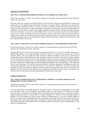### **ZOOLOGY (CONTINUED):**

### **1105. WILL EARTHWORMS IMPROVE FERTILITY OF HURRICANE SANDY SOIL?**

Molly Robinson, Block 1 Science Class, Marine Academy of Technology and Environmental Science (MATES), Advisor: Dr. John Wnek

Hurricane Sandy was a tragedy that upset the balance of the ecosystem. Along with ruined habitats for animals and people alike, soil was displaced and contaminated with debris. To improve fertility, earthworms were placed in the soil to see if they would have an effect. 12 worms were placed in 3 buckets of Hurricane Sandy soil and 1 bucket of control soil. Over the course of 5 weeks, the change in the fertility was observed. Contrary to the hypothesis, the conditions of the soil did not improve. The nitrogen, phosphorus, potash, and pH levels stayed mostly consistent. The worms in buckets 1 and 2 were all dead within the first 2 weeks. The worms in bucket 3 were dead within 4 weeks. In the control, the fertility of the soil did improve and all worms lived. Some factors that could have influenced this outcome are the salinity of the soil and the composition of the soil. Too much salt from the bay water could have caused the worms to die and unknown substances that the floodwaters washed into the ground also could have caused the death of the worms.

### **1106. WHAT IS THE EFFECT OF WATER TEMPERATURE ON CLAM BURROWING BEHAVIOR?**

Olivia Schailey, Block 1 Science Class, Marine Academy of Technology and Environmental Sciences (MATES), Advisors: Mr. David Werner and Dr. John Wnek

Quahogs (*Mercenaria mercenaria*) are farmed and gathered all along the U.S. east coast annually. Clamming is a million dollar industry with so little knowledge on how they behave. It is known how most clams use an internal structure called a foot to dig under the sand, but there is limited knowledge on how they act after they are underneath the surface. Most people know when clamming a relative idea of how far they have to dig down looking for the clams before moving on to the next spot, although this project is aiming to determine further knowledge on just how accurate these speculations are. It is hypothesized according to previous knowledge and common sense that the clams would burrow deepest under the sand resembling hibernation in the cold temperatures. The experiment divided clams into groups of 50 and had each group experience a different temperature resembling the winter, fall, and summer temperatures. This was done three times. It was difficult to determine if the clams would respond normally to being in a contained environment, and if they did how accurate these results may be. The results were gathered every five days and were analyzed. Each experiment showed that when the clams were placed in the warmest water tank they burrowed deeper underneath the sand than in the colder tanks.

### **GRADE 10 PROJECTS:**

### **1201. WHICH IS MORE EFFECTIVE: TRADITIONAL CHEMICAL CLEANING PRODUCTS OR HOMEMADE NATURAL PRODUCTS?**

Helene Brochon, Block 3 Science Class, Marine Academy of Technology and Environmental Science (MATES), Advisor: Mr. Jason Kelsey

A certain issue that has been mildly disputed in the past few years is what type of cleaning product to use within your household. Some say that traditional store-bought cleaners are more effective for killing more bacteria. However, others say that these store-bought cleaners are harmful to the environment and to your house, and that a natural homemade alternative is much safer for a common household. It's obvious that the homemade product is healthier to the environment, but which is more effective in killing bacteria? To test this, multiple samples of bacteria were taken from a household kitchen sink and cultured in petri dishes. Half of these bacteria colonies were then sprayed with a natural homemade cleaner consisting of vinegar, and the other half were sprayed with Windex. The amount of bacteria colonies killed will be recorded and analyzed to determine which cleaning product is more effective in killing bacteria.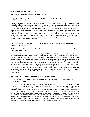### **GRADE 10 PROJECTS (CONTINUED):**

### **1202. WHAT LIES WITHIN THE UNCANNY VALLEY?**

Charles Capone-Buchanan, Block 1 Science Class, Marine Academy of Technology and Environmental Science (MATES), Advisor: Mr. Jason Kelsey

In robotics and CGI there lays two theoretical "mountains"; on one mountain there is a robot or CGI that looks exactly like a human and another mountain where a robot or CGI may be recognized as humanoid, but is never mistaken for an actual person. In-between these mountains lies a theoretical "valley" where a robot or CGI looks and can sometimes be mistaken for a human but does not meet all the requirements to be a "human" in a person's mind and as a result appears unnerving; the uncanny valley. The question is, however, are the images that fall into this valley actually unsettling to everyone or does the "creepiness" depend on the person and his/her perspective on what creepiness and human-likeness is. To test this, ten individuals where shown images, that supposedly fell into the uncanny valley, and where asked how humanlike and unsettling the images where. According to the results, the ten individuals showed inconsistent results amongst each other; however ratings between each of their own pictures showed a significant patterns and consistency.

### **1203. ANALYSIS OF ESTUARINE SPECIES IN BARNEGAT BAY WITHIN DEVELOPED AND NON-DEVELOPED HABITATS**

Matthew Dixon, Block 2 Science Class, Marine Academy of Technology and Environmental Science (MATES), Advisor: Mr. Dave Werner

Greater species diversity ensures natural sustainability for all life forms. Within estuaries, like Barnegat Bay, there are increased anthropogenic impacts including urban runoff, excess nutrient inputs and direct loss of habitat. Estuarine habitats are crucial to the survival of species as it has a nursery function. The question is "do these impacts cause a change in pH, water temperatures and salt values in developed areas versus non-developed areas?" Is the biodiversity of species in Barnegat Bay affected by changes in these factors? A sampling location in a developed area and undeveloped area was analyzed for biodiversity of species, water temperature, pH and salinity throughout the months of September and October 2014 during incoming tidal events. Species were collected using a standard seine net. A Jaccard's Index was calculated to determine similarity of species in disturbed versus non-disturbed areas. As the water temperature decreased through the seasonal change the species biodiversity was reduced. The developed area also resulted in lower species diversity. This study will provide better insight into species that can be considered "habitat generalists" which will have important implications for possible, future species dominance in Barnegat Bay.

### **1204. EFFECTS OF AGE AND GENDER ON COLOR ATTRACTION**

Joshua Greenberg, Block 1 Science Class, Marine Academy of Technology and Environmental Science (MATES), Advisor: Mr. Jason Kelsey

This experiment was completed in order to ascertain which colors give off the most attraction and pull the most attention to the eye. In order to pursue this experiment, it should be tackled in a survey-like manner. The way to do this is: to prepare a variety of colors for the respondents to the survey, place each respondent in front of these colors, and see which color each person looks at first. It is necessary to collect the data for gender, age, and color picked for each person that is surveyed. This will tell you how genders and ages have an effect on how all of the participants are attracted to different colors, and to what colors draw their attention. A difficulty to consider is where the colors are placed when the survey is taken because the person may pick the color sitting right in front of them. To avoid this, the colors could always be placed in a random order, preventing bias. I anticipate for this experiment to produce favorable results, and also results that indicate only a few colors as most eye-catching. In the end, I hope to be able

to explain which colors are most attractive, and why these colors are most attractive.